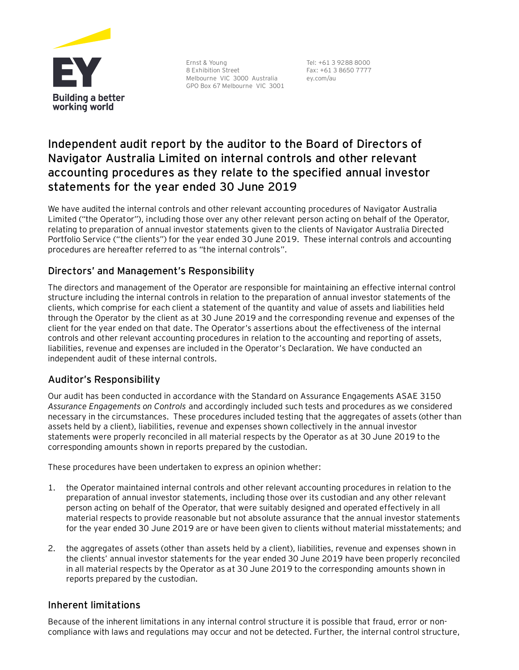

Ernst & Young 8 Exhibition Street Melbourne VIC 3000 Australia GPO Box 67 Melbourne VIC 3001 Tel: +61 3 9288 8000 Fax: +61 3 8650 7777 ey.com/au

# **Independent audit report by the auditor to the Board of Directors of Navigator Australia Limited on internal controls and other relevant accounting procedures as they relate to the specified annual investor statements for the year ended 30 June 2019**

We have audited the internal controls and other relevant accounting procedures of Navigator Australia Limited ("the Operator"), including those over any other relevant person acting on behalf of the Operator, relating to preparation of annual investor statements given to the clients of Navigator Australia Directed Portfolio Service ("the clients") for the year ended 30 June 2019. These internal controls and accounting procedures are hereafter referred to as "the internal controls".

## Directors' and Management's Responsibility

The directors and management of the Operator are responsible for maintaining an effective internal control structure including the internal controls in relation to the preparation of annual investor statements of the clients, which comprise for each client a statement of the quantity and value of assets and liabilities held through the Operator by the client as at 30 June 2019 and the corresponding revenue and expenses of the client for the year ended on that date. The Operator's assertions about the effectiveness of the internal controls and other relevant accounting procedures in relation to the accounting and reporting of assets, liabilities, revenue and expenses are included in the Operator's Declaration. We have conducted an independent audit of these internal controls.

### Auditor's Responsibility

Our audit has been conducted in accordance with the Standard on Assurance Engagements ASAE 3150 *Assurance Engagements on Controls* and accordingly included such tests and procedures as we considered necessary in the circumstances. These procedures included testing that the aggregates of assets (other than assets held by a client), liabilities, revenue and expenses shown collectively in the annual investor statements were properly reconciled in all material respects by the Operator as at 30 June 2019 to the corresponding amounts shown in reports prepared by the custodian.

These procedures have been undertaken to express an opinion whether:

- 1. the Operator maintained internal controls and other relevant accounting procedures in relation to the preparation of annual investor statements, including those over its custodian and any other relevant person acting on behalf of the Operator, that were suitably designed and operated effectively in all material respects to provide reasonable but not absolute assurance that the annual investor statements for the year ended 30 June 2019 are or have been given to clients without material misstatements; and
- 2. the aggregates of assets (other than assets held by a client), liabilities, revenue and expenses shown in the clients' annual investor statements for the year ended 30 June 2019 have been properly reconciled in all material respects by the Operator as at 30 June 2019 to the corresponding amounts shown in reports prepared by the custodian.

### Inherent limitations

Because of the inherent limitations in any internal control structure it is possible that fraud, error or noncompliance with laws and regulations may occur and not be detected. Further, the internal control structure,